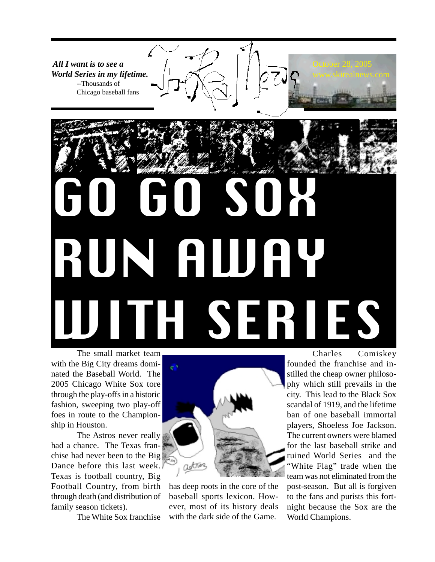*All I want is to see a World Series in my lifetime.* --Thousands of Chicago baseball fans

# GO GO SOX RUN AWAY WEIGHT SERIES Charles The small market team

with the Big City dreams dominated the Baseball World. The 2005 Chicago White Sox tore through the play-offs in a historic fashion, sweeping two play-off foes in route to the Championship in Houston.

The Astros never really had a chance. The Texas franchise had never been to the Big Dance before this last week. Texas is football country, Big Football Country, from birth through death (and distribution of family season tickets).

The White Sox franchise



has deep roots in the core of the baseball sports lexicon. However, most of its history deals with the dark side of the Game.

Comiskey founded the franchise and instilled the cheap owner philosophy which still prevails in the city. This lead to the Black Sox scandal of 1919, and the lifetime ban of one baseball immortal players, Shoeless Joe Jackson. The current owners were blamed for the last baseball strike and ruined World Series and the "White Flag" trade when the team was not eliminated from the post-season. But all is forgiven to the fans and purists this fortnight because the Sox are the World Champions.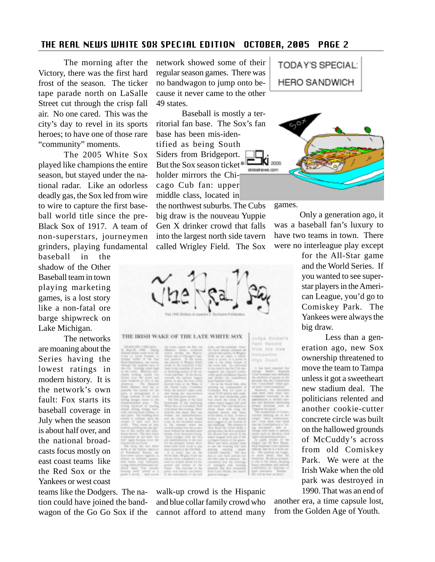The morning after the Victory, there was the first hard frost of the season. The ticker tape parade north on LaSalle Street cut through the crisp fall air. No one cared. This was the city's day to revel in its sports heroes; to have one of those rare "community" moments.

The 2005 White Sox played like champions the entire season, but stayed under the national radar. Like an odorless deadly gas, the Sox led from wire to wire to capture the first baseball world title since the pre-Black Sox of 1917. A team of non-superstars, journeymen grinders, playing fundamental

baseball in the shadow of the Other Baseball team in town playing marketing games, is a lost story like a non-fatal ore barge shipwreck on Lake Michigan.

The networks are moaning about the Series having the lowest ratings in modern history. It is the network's own fault: Fox starts its baseball coverage in July when the season is about half over, and the national broadcasts focus mostly on east coast teams like the Red Sox or the Yankees or west coast

teams like the Dodgers. The nation could have joined the bandwagon of the Go Go Sox if the network showed some of their regular season games. There was no bandwagon to jump onto because it never came to the other 49 states.

Baseball is mostly a territorial fan base. The Sox's fan base has been mis-identified as being South Siders from Bridgeport. But the Sox season ticket<sup>®</sup> holder mirrors the Chicago Cub fan: upper middle class, located in

the northwest suburbs. The Cubs big draw is the nouveau Yuppie Gen X drinker crowd that falls into the largest north side tavern called Wrigley Field. The Sox



THE IRISH WAKE OF THE LATE WHITE SOX

walk-up crowd is the Hispanic and blue collar family crowd who cannot afford to attend many

Judge Bouter's Past Record from the Haw Hampahira High Court

TODAY'S SPECIAL: **HERO SANDWICH** 



games.

Only a generation ago, it was a baseball fan's luxury to have two teams in town. There were no interleague play except

> for the All-Star game and the World Series. If you wanted to see superstar players in the American League, you'd go to Comiskey Park. The Yankees were always the big draw.

Less than a generation ago, new Sox ownership threatened to move the team to Tampa unless it got a sweetheart new stadium deal. The politicians relented and another cookie-cutter concrete circle was built on the hallowed grounds of McCuddy's across from old Comiskey Park. We were at the Irish Wake when the old park was destroyed in 1990. That was an end of

another era, a time capsule lost, from the Golden Age of Youth.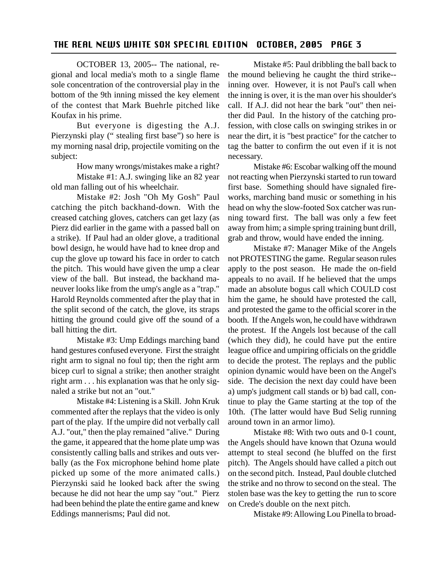OCTOBER 13, 2005-- The national, regional and local media's moth to a single flame sole concentration of the controversial play in the bottom of the 9th inning missed the key element of the contest that Mark Buehrle pitched like Koufax in his prime.

But everyone is digesting the A.J. Pierzynski play (" stealing first base") so here is my morning nasal drip, projectile vomiting on the subject:

How many wrongs/mistakes make a right?

Mistake #1: A.J. swinging like an 82 year old man falling out of his wheelchair.

Mistake #2: Josh "Oh My Gosh" Paul catching the pitch backhand-down. With the creased catching gloves, catchers can get lazy (as Pierz did earlier in the game with a passed ball on a strike). If Paul had an older glove, a traditional bowl design, he would have had to knee drop and cup the glove up toward his face in order to catch the pitch. This would have given the ump a clear view of the ball. But instead, the backhand maneuver looks like from the ump's angle as a "trap." Harold Reynolds commented after the play that in the split second of the catch, the glove, its straps hitting the ground could give off the sound of a ball hitting the dirt.

Mistake #3: Ump Eddings marching band hand gestures confused everyone. First the straight right arm to signal no foul tip; then the right arm bicep curl to signal a strike; then another straight right arm . . . his explanation was that he only signaled a strike but not an "out."

Mistake #4: Listening is a Skill. John Kruk commented after the replays that the video is only part of the play. If the umpire did not verbally call A.J. "out," then the play remained "alive." During the game, it appeared that the home plate ump was consistently calling balls and strikes and outs verbally (as the Fox microphone behind home plate picked up some of the more animated calls.) Pierzynski said he looked back after the swing because he did not hear the ump say "out." Pierz had been behind the plate the entire game and knew Eddings mannerisms; Paul did not.

Mistake #5: Paul dribbling the ball back to the mound believing he caught the third strike- inning over. However, it is not Paul's call when the inning is over, it is the man over his shoulder's call. If A.J. did not hear the bark "out" then neither did Paul. In the history of the catching profession, with close calls on swinging strikes in or near the dirt, it is "best practice" for the catcher to tag the batter to confirm the out even if it is not necessary.

Mistake #6: Escobar walking off the mound not reacting when Pierzynski started to run toward first base. Something should have signaled fireworks, marching band music or something in his head on why the slow-footed Sox catcher was running toward first. The ball was only a few feet away from him; a simple spring training bunt drill, grab and throw, would have ended the inning.

Mistake #7: Manager Mike of the Angels not PROTESTING the game. Regular season rules apply to the post season. He made the on-field appeals to no avail. If he believed that the umps made an absolute bogus call which COULD cost him the game, he should have protested the call, and protested the game to the official scorer in the booth. If the Angels won, he could have withdrawn the protest. If the Angels lost because of the call (which they did), he could have put the entire league office and umpiring officials on the griddle to decide the protest. The replays and the public opinion dynamic would have been on the Angel's side. The decision the next day could have been a) ump's judgment call stands or b) bad call, continue to play the Game starting at the top of the 10th. (The latter would have Bud Selig running around town in an armor limo).

Mistake #8: With two outs and 0-1 count, the Angels should have known that Ozuna would attempt to steal second (he bluffed on the first pitch). The Angels should have called a pitch out on the second pitch. Instead, Paul double clutched the strike and no throw to second on the steal. The stolen base was the key to getting the run to score on Crede's double on the next pitch.

Mistake #9: Allowing Lou Pinella to broad-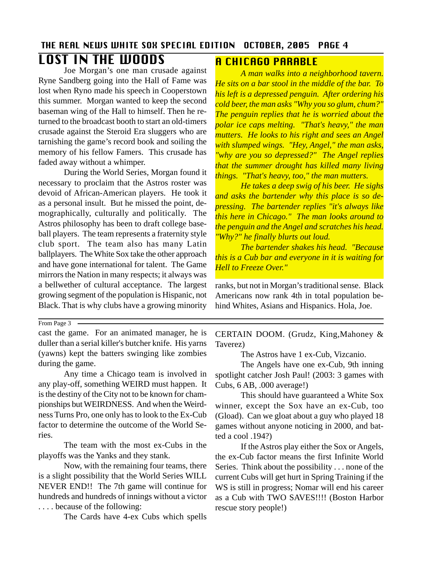#### A CHICAGO PARABLE THE REAL NEWS WHITE SOX SPECIAL EDITION OCTOBER, 2005 PAGE 4 LOST IN THE WOODS

Joe Morgan's one man crusade against Ryne Sandberg going into the Hall of Fame was lost when Ryno made his speech in Cooperstown this summer. Morgan wanted to keep the second baseman wing of the Hall to himself. Then he returned to the broadcast booth to start an old-timers crusade against the Steroid Era sluggers who are tarnishing the game's record book and soiling the memory of his fellow Famers. This crusade has faded away without a whimper.

During the World Series, Morgan found it necessary to proclaim that the Astros roster was devoid of African-American players. He took it as a personal insult. But he missed the point, demographically, culturally and politically. The Astros philosophy has been to draft college baseball players. The team represents a fraternity style club sport. The team also has many Latin ballplayers. The White Sox take the other approach and have gone international for talent. The Game mirrors the Nation in many respects; it always was a bellwether of cultural acceptance. The largest growing segment of the population is Hispanic, not Black. That is why clubs have a growing minority

*A man walks into a neighborhood tavern. He sits on a bar stool in the middle of the bar. To his left is a depressed penguin. After ordering his cold beer, the man asks "Why you so glum, chum?" The penguin replies that he is worried about the polar ice caps melting. "That's heavy," the man mutters. He looks to his right and sees an Angel with slumped wings. "Hey, Angel," the man asks, "why are you so depressed?" The Angel replies that the summer drought has killed many living things. "That's heavy, too," the man mutters.*

*He takes a deep swig of his beer. He sighs and asks the bartender why this place is so depressing. The bartender replies "it's always like this here in Chicago." The man looks around to the penguin and the Angel and scratches his head. "Why?" he finally blurts out loud.*

*The bartender shakes his head. "Because this is a Cub bar and everyone in it is waiting for Hell to Freeze Over."*

ranks, but not in Morgan's traditional sense. Black Americans now rank 4th in total population behind Whites, Asians and Hispanics. Hola, Joe.

| om F:<br>n. |  |
|-------------|--|
|             |  |

cast the game. For an animated manager, he is duller than a serial killer's butcher knife. His yarns (yawns) kept the batters swinging like zombies during the game.

Any time a Chicago team is involved in any play-off, something WEIRD must happen. It is the destiny of the City not to be known for championships but WEIRDNESS. And when the Weirdness Turns Pro, one only has to look to the Ex-Cub factor to determine the outcome of the World Series.

The team with the most ex-Cubs in the playoffs was the Yanks and they stank.

Now, with the remaining four teams, there is a slight possibility that the World Series WILL NEVER END!! The 7th game will continue for hundreds and hundreds of innings without a victor . . . . because of the following:

The Cards have 4-ex Cubs which spells

CERTAIN DOOM. (Grudz, King,Mahoney & Taverez)

The Astros have 1 ex-Cub, Vizcanio.

The Angels have one ex-Cub, 9th inning spotlight catcher Josh Paul! (2003: 3 games with Cubs, 6 AB, .000 average!)

This should have guaranteed a White Sox winner, except the Sox have an ex-Cub, too (Gload). Can we gloat about a guy who played 18 games without anyone noticing in 2000, and batted a cool .194?)

If the Astros play either the Sox or Angels, the ex-Cub factor means the first Infinite World Series. Think about the possibility . . . none of the current Cubs will get hurt in Spring Training if the WS is still in progress; Nomar will end his career as a Cub with TWO SAVES!!!! (Boston Harbor rescue story people!)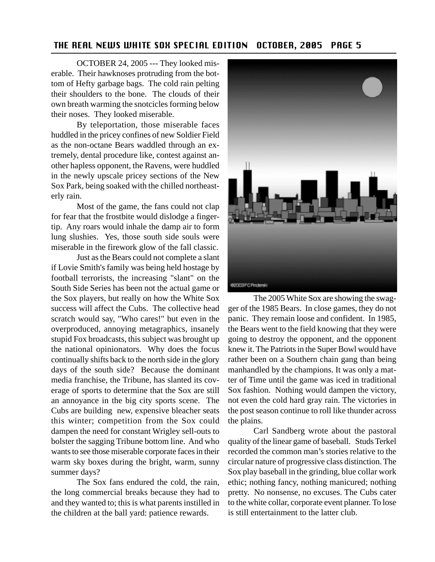OCTOBER 24, 2005 --- They looked miserable. Their hawknoses protruding from the bottom of Hefty garbage bags. The cold rain pelting their shoulders to the bone. The clouds of their own breath warming the snotcicles forming below their noses. They looked miserable.

By teleportation, those miserable faces huddled in the pricey confines of new Soldier Field as the non-octane Bears waddled through an extremely, dental procedure like, contest against another hapless opponent, the Ravens, were huddled in the newly upscale pricey sections of the New Sox Park, being soaked with the chilled northeasterly rain.

Most of the game, the fans could not clap for fear that the frostbite would dislodge a fingertip. Any roars would inhale the damp air to form lung slushies. Yes, those south side souls were miserable in the firework glow of the fall classic.

Just as the Bears could not complete a slant if Lovie Smith's family was being held hostage by football terrorists, the increasing "slant" on the South Side Series has been not the actual game or the Sox players, but really on how the White Sox success will affect the Cubs. The collective head scratch would say, "Who cares!" but even in the overproduced, annoying metagraphics, insanely stupid Fox broadcasts, this subject was brought up the national opinionators. Why does the focus continually shifts back to the north side in the glory days of the south side? Because the dominant media franchise, the Tribune, has slanted its coverage of sports to determine that the Sox are still an annoyance in the big city sports scene. The Cubs are building new, expensive bleacher seats this winter; competition from the Sox could dampen the need for constant Wrigley sell-outs to bolster the sagging Tribune bottom line. And who wants to see those miserable corporate faces in their warm sky boxes during the bright, warm, sunny summer days?

The Sox fans endured the cold, the rain, the long commercial breaks because they had to and they wanted to; this is what parents instilled in the children at the ball yard: patience rewards.



The 2005 White Sox are showing the swagger of the 1985 Bears. In close games, they do not panic. They remain loose and confident. In 1985, the Bears went to the field knowing that they were going to destroy the opponent, and the opponent knew it. The Patriots in the Super Bowl would have rather been on a Southern chain gang than being manhandled by the champions. It was only a matter of Time until the game was iced in traditional Sox fashion. Nothing would dampen the victory, not even the cold hard gray rain. The victories in the post season continue to roll like thunder across the plains.

Carl Sandberg wrote about the pastoral quality of the linear game of baseball. Studs Terkel recorded the common man's stories relative to the circular nature of progressive class distinction. The Sox play baseball in the grinding, blue collar work ethic; nothing fancy, nothing manicured; nothing pretty. No nonsense, no excuses. The Cubs cater to the white collar, corporate event planner. To lose is still entertainment to the latter club.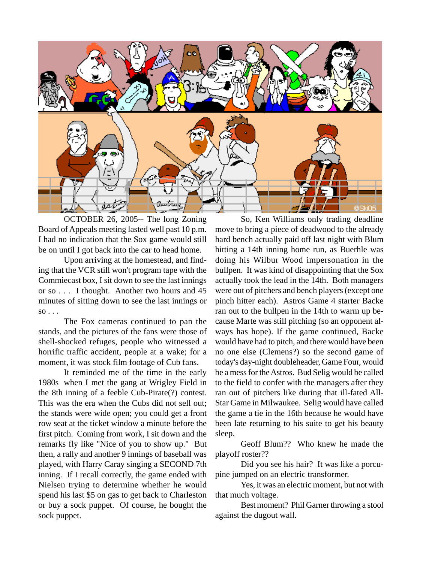

OCTOBER 26, 2005-- The long Zoning Board of Appeals meeting lasted well past 10 p.m. I had no indication that the Sox game would still be on until I got back into the car to head home.

Upon arriving at the homestead, and finding that the VCR still won't program tape with the Commiecast box, I sit down to see the last innings or so . . . I thought. Another two hours and 45 minutes of sitting down to see the last innings or  $so \ldots$ 

The Fox cameras continued to pan the stands, and the pictures of the fans were those of shell-shocked refuges, people who witnessed a horrific traffic accident, people at a wake; for a moment, it was stock film footage of Cub fans.

It reminded me of the time in the early 1980s when I met the gang at Wrigley Field in the 8th inning of a feeble Cub-Pirate(?) contest. This was the era when the Cubs did not sell out; the stands were wide open; you could get a front row seat at the ticket window a minute before the first pitch. Coming from work, I sit down and the remarks fly like "Nice of you to show up." But then, a rally and another 9 innings of baseball was played, with Harry Caray singing a SECOND 7th inning. If I recall correctly, the game ended with Nielsen trying to determine whether he would spend his last \$5 on gas to get back to Charleston or buy a sock puppet. Of course, he bought the sock puppet.

So, Ken Williams only trading deadline move to bring a piece of deadwood to the already hard bench actually paid off last night with Blum hitting a 14th inning home run, as Buerhle was doing his Wilbur Wood impersonation in the bullpen. It was kind of disappointing that the Sox actually took the lead in the 14th. Both managers were out of pitchers and bench players (except one pinch hitter each). Astros Game 4 starter Backe ran out to the bullpen in the 14th to warm up because Marte was still pitching (so an opponent always has hope). If the game continued, Backe would have had to pitch, and there would have been no one else (Clemens?) so the second game of today's day-night doubleheader, Game Four, would be a mess for the Astros. Bud Selig would be called to the field to confer with the managers after they ran out of pitchers like during that ill-fated All-Star Game in Milwaukee. Selig would have called the game a tie in the 16th because he would have been late returning to his suite to get his beauty sleep.

Geoff Blum?? Who knew he made the playoff roster??

Did you see his hair? It was like a porcupine jumped on an electric transformer.

Yes, it was an electric moment, but not with that much voltage.

Best moment? Phil Garner throwing a stool against the dugout wall.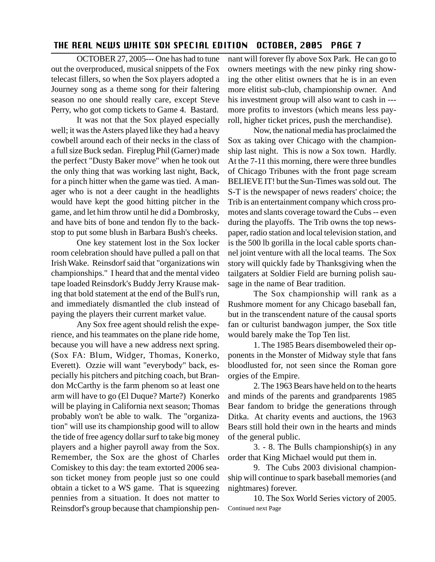OCTOBER 27, 2005--- One has had to tune out the overproduced, musical snippets of the Fox telecast fillers, so when the Sox players adopted a Journey song as a theme song for their faltering season no one should really care, except Steve Perry, who got comp tickets to Game 4. Bastard.

It was not that the Sox played especially well; it was the Asters played like they had a heavy cowbell around each of their necks in the class of a full size Buck sedan. Fireplug Phil (Garner) made the perfect "Dusty Baker move" when he took out the only thing that was working last night, Back, for a pinch hitter when the game was tied. A manager who is not a deer caught in the headlights would have kept the good hitting pitcher in the game, and let him throw until he did a Dombrosky, and have bits of bone and tendon fly to the backstop to put some blush in Barbara Bush's cheeks.

One key statement lost in the Sox locker room celebration should have pulled a pall on that Irish Wake. Reinsdorf said that "organizations win championships." I heard that and the mental video tape loaded Reinsdork's Buddy Jerry Krause making that bold statement at the end of the Bull's run, and immediately dismantled the club instead of paying the players their current market value.

Any Sox free agent should relish the experience, and his teammates on the plane ride home, because you will have a new address next spring. (Sox FA: Blum, Widger, Thomas, Konerko, Everett). Ozzie will want "everybody" back, especially his pitchers and pitching coach, but Brandon McCarthy is the farm phenom so at least one arm will have to go (El Duque? Marte?) Konerko will be playing in California next season; Thomas probably won't be able to walk. The "organization" will use its championship good will to allow the tide of free agency dollar surf to take big money players and a higher payroll away from the Sox. Remember, the Sox are the ghost of Charles Comiskey to this day: the team extorted 2006 season ticket money from people just so one could obtain a ticket to a WS game. That is squeezing pennies from a situation. It does not matter to Reinsdorf's group because that championship pennant will forever fly above Sox Park. He can go to owners meetings with the new pinky ring showing the other elitist owners that he is in an even more elitist sub-club, championship owner. And his investment group will also want to cash in -- more profits to investors (which means less payroll, higher ticket prices, push the merchandise).

Now, the national media has proclaimed the Sox as taking over Chicago with the championship last night. This is now a Sox town. Hardly. At the 7-11 this morning, there were three bundles of Chicago Tribunes with the front page scream BELIEVE IT! but the Sun-Times was sold out. The S-T is the newspaper of news readers' choice; the Trib is an entertainment company which cross promotes and slants coverage toward the Cubs -- even during the playoffs. The Trib owns the top newspaper, radio station and local television station, and is the 500 lb gorilla in the local cable sports channel joint venture with all the local teams. The Sox story will quickly fade by Thanksgiving when the tailgaters at Soldier Field are burning polish sausage in the name of Bear tradition.

The Sox championship will rank as a Rushmore moment for any Chicago baseball fan, but in the transcendent nature of the causal sports fan or culturist bandwagon jumper, the Sox title would barely make the Top Ten list.

1. The 1985 Bears disemboweled their opponents in the Monster of Midway style that fans bloodlusted for, not seen since the Roman gore orgies of the Empire.

2. The 1963 Bears have held on to the hearts and minds of the parents and grandparents 1985 Bear fandom to bridge the generations through Ditka. At charity events and auctions, the 1963 Bears still hold their own in the hearts and minds of the general public.

3. - 8. The Bulls championship(s) in any order that King Michael would put them in.

9. The Cubs 2003 divisional championship will continue to spark baseball memories (and nightmares) forever.

10. The Sox World Series victory of 2005. Continued next Page